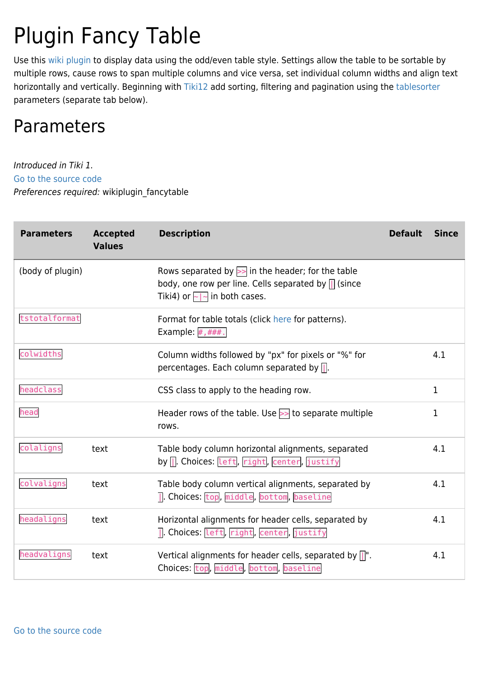# Plugin Fancy Table

Use this [wiki plugin](https://doc.tiki.org/wiki%20plugin) to display data using the odd/even table style. Settings allow the table to be sortable by multiple rows, cause rows to span multiple columns and vice versa, set individual column widths and align text horizontally and vertically. Beginning with [Tiki12](https://doc.tiki.org/Tiki12) add sorting, filtering and pagination using the [tablesorter](https://doc.tiki.org/Tablesorter) parameters (separate tab below).

# Parameters

Introduced in Tiki 1. [Go to the source code](https://gitlab.com/tikiwiki/tiki/-/blob/master/lib/wiki-plugins/wikiplugin_fancytable.php) Preferences required: wikiplugin\_fancytable

| <b>Parameters</b> | <b>Accepted</b><br><b>Values</b> | <b>Description</b>                                                                                                                                            | <b>Default</b> | <b>Since</b> |
|-------------------|----------------------------------|---------------------------------------------------------------------------------------------------------------------------------------------------------------|----------------|--------------|
| (body of plugin)  |                                  | Rows separated by $\geq$ in the header; for the table<br>body, one row per line. Cells separated by $\prod$ (since<br>Tiki4) or $\boxed{\sim}$ in both cases. |                |              |
| tstotalformat     |                                  | Format for table totals (click here for patterns).<br>Example: $#$ , ###.                                                                                     |                |              |
| colwidths         |                                  | Column widths followed by "px" for pixels or "%" for<br>percentages. Each column separated by $\Box$ .                                                        |                | 4.1          |
| headclass         |                                  | CSS class to apply to the heading row.                                                                                                                        |                | $\mathbf{1}$ |
| head              |                                  | Header rows of the table. Use $>$ to separate multiple<br>rows.                                                                                               |                | 1            |
| colaligns         | text                             | Table body column horizontal alignments, separated<br>by   Choices: Left, right, center, justify                                                              |                | 4.1          |
| colvaligns        | text                             | Table body column vertical alignments, separated by<br>7. Choices: top, middle, bottom, baseline                                                              |                | 4.1          |
| headaligns        | text                             | Horizontal alignments for header cells, separated by<br>] Choices: Left, right, center, justify                                                               |                | 4.1          |
| headvaligns       | text                             | Vertical alignments for header cells, separated by $\left \right $ ".<br>Choices: top, middle, bottom, baseline                                               |                | 4.1          |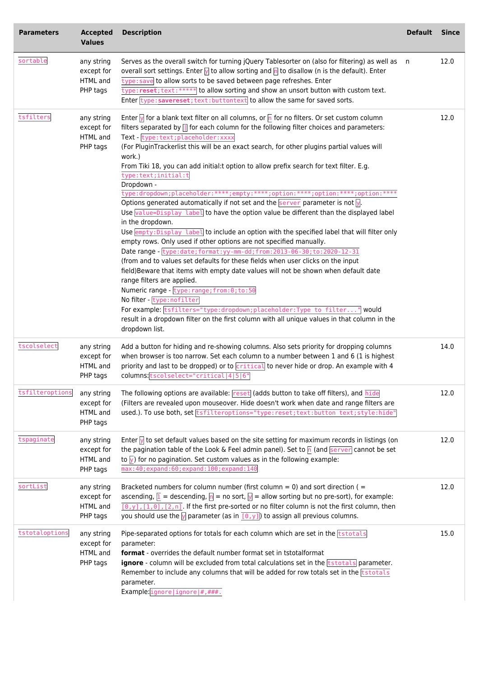| <b>Parameters</b> | <b>Accepted</b><br><b>Values</b>                 | <b>Description</b>                                                                                                                                                                                                                                                                                                                                                                                                                                                                                                                                                                                                                                                                                                                                                                                                                                                                                                                                                                                                                                                                                                                                                                                                                                                                                                                                                                                                                                                                                                                                            | <b>Default</b> | <b>Since</b> |
|-------------------|--------------------------------------------------|---------------------------------------------------------------------------------------------------------------------------------------------------------------------------------------------------------------------------------------------------------------------------------------------------------------------------------------------------------------------------------------------------------------------------------------------------------------------------------------------------------------------------------------------------------------------------------------------------------------------------------------------------------------------------------------------------------------------------------------------------------------------------------------------------------------------------------------------------------------------------------------------------------------------------------------------------------------------------------------------------------------------------------------------------------------------------------------------------------------------------------------------------------------------------------------------------------------------------------------------------------------------------------------------------------------------------------------------------------------------------------------------------------------------------------------------------------------------------------------------------------------------------------------------------------------|----------------|--------------|
| sortable          | any string<br>except for<br>HTML and<br>PHP tags | Serves as the overall switch for turning jQuery Tablesorter on (also for filtering) as well as n<br>overall sort settings. Enter $\sqrt{ }$ to allow sorting and $\sqrt{n}$ to disallow (n is the default). Enter<br>type: save to allow sorts to be saved between page refreshes. Enter<br>type: reset; text: ****** to allow sorting and show an unsort button with custom text.<br>Enter type: savereset; text: buttontext to allow the same for saved sorts.                                                                                                                                                                                                                                                                                                                                                                                                                                                                                                                                                                                                                                                                                                                                                                                                                                                                                                                                                                                                                                                                                              |                | 12.0         |
| tsfilters         | any string<br>except for<br>HTML and<br>PHP tags | Enter $\sqrt{ }$ for a blank text filter on all columns, or $\sqrt{n}$ for no filters. Or set custom column<br>filters separated by $\frac{1}{2}$ for each column for the following filter choices and parameters:<br>Text - type:text; placeholder: xxxx<br>(For PluginTrackerlist this will be an exact search, for other plugins partial values will<br>work.)<br>From Tiki 18, you can add initial:t option to allow prefix search for text filter. E.g.<br>type:text;initial:t<br>Dropdown -<br>type:dropdown;placeholder:****;empty:****;option:****;option:****;option:****<br>Options generated automatically if not set and the $\frac{1}{1}$ server parameter is not $\frac{1}{2}$ .<br>Use value=Display label to have the option value be different than the displayed label<br>in the dropdown.<br>Use <b>empty: Display</b> label to include an option with the specified label that will filter only<br>empty rows. Only used if other options are not specified manually.<br>Date range - type: date; format: yy-mm-dd; from: 2013-06-30; to: 2020-12-31<br>(from and to values set defaults for these fields when user clicks on the input<br>field) Beware that items with empty date values will not be shown when default date<br>range filters are applied.<br>Numeric range - type: range; from: 0; to: 50<br>No filter - type: nofilter<br>For example: tsfilters="type:dropdown; placeholder: Type to filter" would<br>result in a dropdown filter on the first column with all unique values in that column in the<br>dropdown list. |                | 12.0         |
| tscolselect       | any string<br>except for<br>HTML and<br>PHP tags | Add a button for hiding and re-showing columns. Also sets priority for dropping columns<br>when browser is too narrow. Set each column to a number between 1 and 6 (1 is highest<br>priority and last to be dropped) or to critical to never hide or drop. An example with 4<br>columns: tscolselect="critical 4 5 6"                                                                                                                                                                                                                                                                                                                                                                                                                                                                                                                                                                                                                                                                                                                                                                                                                                                                                                                                                                                                                                                                                                                                                                                                                                         |                | 14.0         |
| tsfilteroptions   | any string<br>except for<br>HTML and<br>PHP tags | The following options are available: reset (adds button to take off filters), and hide<br>(Filters are revealed upon mouseover. Hide doesn't work when date and range filters are<br>used.). To use both, set tsfilteroptions="type:reset;text:button text;style:hide"                                                                                                                                                                                                                                                                                                                                                                                                                                                                                                                                                                                                                                                                                                                                                                                                                                                                                                                                                                                                                                                                                                                                                                                                                                                                                        |                | 12.0         |
| tspaginate        | any string<br>except for<br>HTML and<br>PHP tags | Enter $\sqrt{ }$ to set default values based on the site setting for maximum records in listings (on<br>the pagination table of the Look & Feel admin panel). Set to $\ln$ (and server cannot be set<br>to $\sqrt{ }$ for no pagination. Set custom values as in the following example:<br>max: 40; expand: 60; expand: 100; expand: 140                                                                                                                                                                                                                                                                                                                                                                                                                                                                                                                                                                                                                                                                                                                                                                                                                                                                                                                                                                                                                                                                                                                                                                                                                      |                | 12.0         |
| sortList          | any string<br>except for<br>HTML and<br>PHP tags | Bracketed numbers for column number (first column = 0) and sort direction ( $=$<br>ascending, $\boxed{1}$ = descending, $\boxed{n}$ = no sort, $\boxed{y}$ = allow sorting but no pre-sort), for example:<br>$[0, y]$ , $[1, 0]$ , $[2, n]$ . If the first pre-sorted or no filter column is not the first column, then<br>you should use the $\sqrt{ }$ parameter (as in $\boxed{[0,y]}$ ) to assign all previous columns.                                                                                                                                                                                                                                                                                                                                                                                                                                                                                                                                                                                                                                                                                                                                                                                                                                                                                                                                                                                                                                                                                                                                   |                | 12.0         |
| tstotaloptions    | any string<br>except for<br>HTML and<br>PHP tags | Pipe-separated options for totals for each column which are set in the <b>tstotals</b><br>parameter:<br>format - overrides the default number format set in tstotalformat<br>ignore - column will be excluded from total calculations set in the tstotals parameter.<br>Remember to include any columns that will be added for row totals set in the <b>tstotals</b><br>parameter.<br>Example: ignore   ignore   #, ###.                                                                                                                                                                                                                                                                                                                                                                                                                                                                                                                                                                                                                                                                                                                                                                                                                                                                                                                                                                                                                                                                                                                                      |                | 15.0         |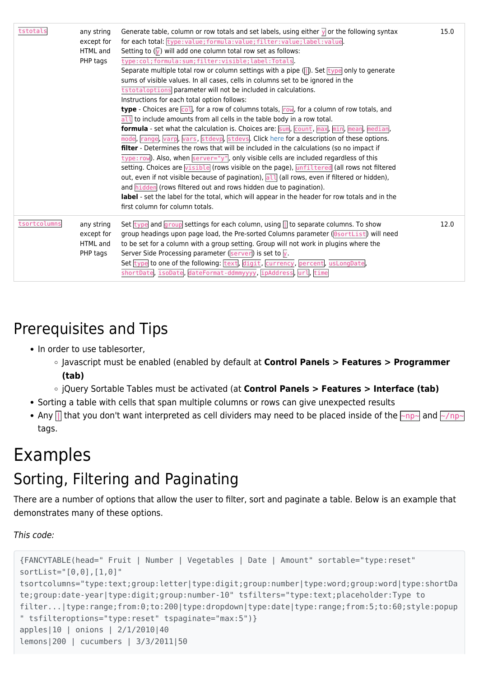| tstotals     | any string<br>except for<br>HTML and<br>PHP tags | Generate table, column or row totals and set labels, using either $\sqrt{ }$ or the following syntax<br>for each total: type: value; formula: value; filter: value; label: value.<br>Setting to $(\sqrt{y})$ will add one column total row set as follows:<br>type:col;formula:sum;filter:visible;label:Totals<br>Separate multiple total row or column settings with a pipe $(\lceil \cdot \rceil)$ . Set $\lceil \cdot \rceil$ ype only to generate<br>sums of visible values. In all cases, cells in columns set to be ignored in the<br>tstotaloptions parameter will not be included in calculations.<br>Instructions for each total option follows:<br><b>type</b> - Choices are $\overline{col}$ , for a row of columns totals, $\overline{row}$ , for a column of row totals, and<br>$\overline{all}$ to include amounts from all cells in the table body in a row total.<br>formula - set what the calculation is. Choices are: [sum], [count], max], min], mean], median]<br>mode, range, varp, vars, stdevp, stdevs. Click here for a description of these options.<br>filter - Determines the rows that will be included in the calculations (so no impact if<br>$\overline{type:row}$ ). Also, when $\overline{server='y"}$ , only visible cells are included regardless of this<br>setting. Choices are visible (rows visible on the page), unfiltered (all rows not filtered<br>out, even if not visible because of pagination), all (all rows, even if filtered or hidden),<br>and hidden (rows filtered out and rows hidden due to pagination).<br>label - set the label for the total, which will appear in the header for row totals and in the<br>first column for column totals. | 15.0 |
|--------------|--------------------------------------------------|-------------------------------------------------------------------------------------------------------------------------------------------------------------------------------------------------------------------------------------------------------------------------------------------------------------------------------------------------------------------------------------------------------------------------------------------------------------------------------------------------------------------------------------------------------------------------------------------------------------------------------------------------------------------------------------------------------------------------------------------------------------------------------------------------------------------------------------------------------------------------------------------------------------------------------------------------------------------------------------------------------------------------------------------------------------------------------------------------------------------------------------------------------------------------------------------------------------------------------------------------------------------------------------------------------------------------------------------------------------------------------------------------------------------------------------------------------------------------------------------------------------------------------------------------------------------------------------------------------------------------------------------------------------------------------------------------------|------|
| tsortcolumns | any string<br>except for<br>HTML and<br>PHP tags | Set $\frac{1}{\sqrt{1-\frac{1}{\sqrt{1-\frac{1}{\sqrt{1-\frac{1}{\sqrt{1-\frac{1}{\sqrt{1-\frac{1}{\sqrt{1-\frac{1}{\sqrt{1-\frac{1}{\sqrt{1-\frac{1}{\sqrt{1-\frac{1}{\sqrt{1-\frac{1}{\sqrt{1-\frac{1}{\sqrt{1-\frac{1}{\sqrt{1-\frac{1}{\sqrt{1-\frac{1}{\sqrt{1-\frac{1}{\sqrt{1-\frac{1}{\sqrt{1-\frac{1}{\sqrt{1-\frac{1}{\sqrt{1-\frac{1}{\sqrt{1-\frac{1}{\sqrt{1-\frac{1}{\sqrt{1-\frac{1}{\sqrt{1-\frac{1}{\sqrt{1$<br>group headings upon page load, the Pre-sorted Columns parameter (SortList) will need<br>to be set for a column with a group setting. Group will not work in plugins where the<br>Server Side Processing parameter ( $\sqrt{\text{server}}$ ) is set to $\sqrt{y}$ .<br>Set type to one of the following: text, digit, currency, percent, usLongDate,<br>shortDate, isoDate, dateFormat-ddmmyyyy, ipAddress, url, time                                                                                                                                                                                                                                                                                                                                                                                                                                                                                                                                                                                                                                                                                                                                                                                                                                                | 12.0 |

# Prerequisites and Tips

- In order to use tablesorter,
	- Javascript must be enabled (enabled by default at **Control Panels > Features > Programmer (tab)**
	- jQuery Sortable Tables must be activated (at **Control Panels > Features > Interface (tab)**
- Sorting a table with cells that span multiple columns or rows can give unexpected results
- Any  $\ln$  that you don't want interpreted as cell dividers may need to be placed inside of the  $\sim$ np $\sim$  and  $\sim$ /np $\sim$ tags.

# Examples

## Sorting, Filtering and Paginating

There are a number of options that allow the user to filter, sort and paginate a table. Below is an example that demonstrates many of these options.

This code:

```
{FANCYTABLE(head=" Fruit | Number | Vegetables | Date | Amount" sortable="type:reset"
sortList="[0,0],[1,0]"
tsortcolumns="type:text;group:letter|type:digit;group:number|type:word;group:word|type:shortDa
te;group:date-year|type:digit;group:number-10" tsfilters="type:text;placeholder:Type to
filter...|type:range;from:0;to:200|type:dropdown|type:date|type:range;from:5;to:60;style:popup
" tsfilteroptions="type:reset" tspaginate="max:5")}
apples|10 | onions | 2/1/2010|40
lemons|200 | cucumbers | 3/3/2011|50
```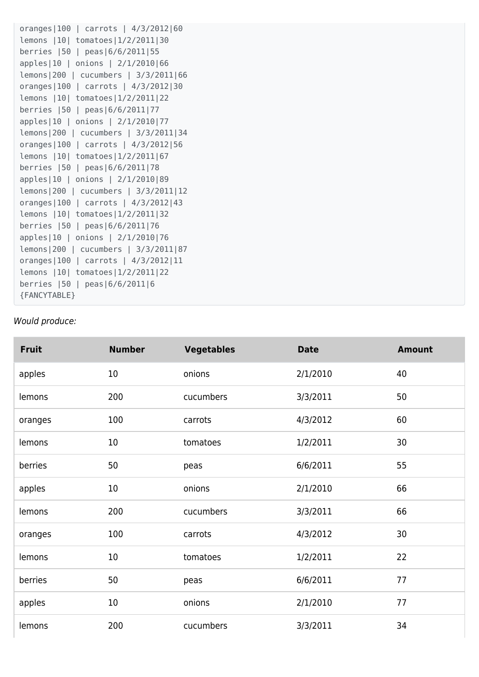```
oranges|100 | carrots | 4/3/2012|60
lemons |10| tomatoes|1/2/2011|30
berries |50 | peas|6/6/2011|55
apples|10 | onions | 2/1/2010|66
lemons|200 | cucumbers | 3/3/2011|66
oranges|100 | carrots | 4/3/2012|30
lemons |10| tomatoes|1/2/2011|22
berries |50 | peas|6/6/2011|77
apples|10 | onions | 2/1/2010|77
lemons|200 | cucumbers | 3/3/2011|34
oranges|100 | carrots | 4/3/2012|56
lemons |10| tomatoes|1/2/2011|67
berries |50 | peas|6/6/2011|78
apples|10 | onions | 2/1/2010|89
lemons|200 | cucumbers | 3/3/2011|12
oranges|100 | carrots | 4/3/2012|43
lemons |10| tomatoes|1/2/2011|32
berries |50 | peas|6/6/2011|76
apples|10 | onions | 2/1/2010|76
lemons|200 | cucumbers | 3/3/2011|87
oranges|100 | carrots | 4/3/2012|11
lemons |10| tomatoes|1/2/2011|22
berries |50 | peas|6/6/2011|6
{FANCYTABLE}
```
#### Would produce:

| <b>Fruit</b> | <b>Number</b> | <b>Vegetables</b> | <b>Date</b> | <b>Amount</b> |
|--------------|---------------|-------------------|-------------|---------------|
| apples       | 10            | onions            | 2/1/2010    | 40            |
| lemons       | 200           | cucumbers         | 3/3/2011    | 50            |
| oranges      | 100           | carrots           | 4/3/2012    | 60            |
| lemons       | 10            | tomatoes          | 1/2/2011    | 30            |
| berries      | 50            | peas              | 6/6/2011    | 55            |
| apples       | 10            | onions            | 2/1/2010    | 66            |
| lemons       | 200           | cucumbers         | 3/3/2011    | 66            |
| oranges      | 100           | carrots           | 4/3/2012    | 30            |
| lemons       | 10            | tomatoes          | 1/2/2011    | 22            |
| berries      | 50            | peas              | 6/6/2011    | 77            |
| apples       | 10            | onions            | 2/1/2010    | 77            |
| lemons       | 200           | cucumbers         | 3/3/2011    | 34            |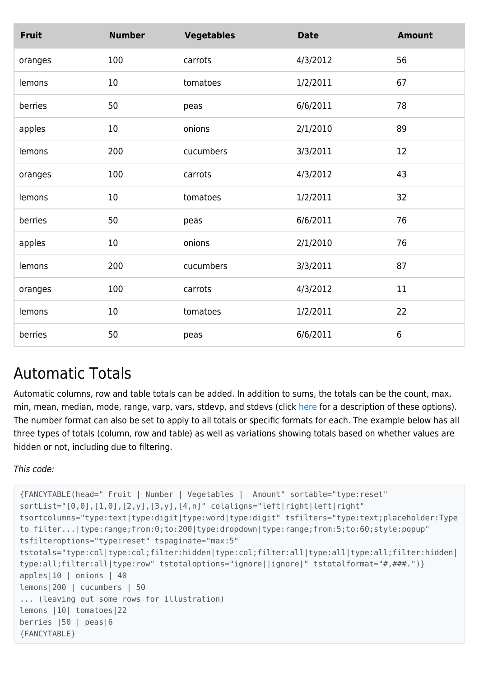| <b>Fruit</b> | <b>Number</b> | <b>Vegetables</b> | <b>Date</b> | <b>Amount</b>   |
|--------------|---------------|-------------------|-------------|-----------------|
| oranges      | 100           | carrots           | 4/3/2012    | 56              |
| lemons       | 10            | tomatoes          | 1/2/2011    | 67              |
| berries      | 50            | peas              | 6/6/2011    | 78              |
| apples       | 10            | onions            | 2/1/2010    | 89              |
| lemons       | 200           | cucumbers         | 3/3/2011    | 12              |
| oranges      | 100           | carrots           | 4/3/2012    | 43              |
| lemons       | 10            | tomatoes          | 1/2/2011    | 32              |
| berries      | 50            | peas              | 6/6/2011    | 76              |
| apples       | 10            | onions            | 2/1/2010    | 76              |
| lemons       | 200           | cucumbers         | 3/3/2011    | 87              |
| oranges      | 100           | carrots           | 4/3/2012    | 11              |
| lemons       | 10            | tomatoes          | 1/2/2011    | 22              |
| berries      | 50            | peas              | 6/6/2011    | $6\phantom{1}6$ |

### Automatic Totals

Automatic columns, row and table totals can be added. In addition to sums, the totals can be the count, max, min, mean, median, mode, range, varp, vars, stdevp, and stdevs (click [here](http://mottie.github.io/tablesorter/docs/example-widget-math.html#attribute_settings) for a description of these options). The number format can also be set to apply to all totals or specific formats for each. The example below has all three types of totals (column, row and table) as well as variations showing totals based on whether values are hidden or not, including due to filtering.

This code:

```
{FANCYTABLE(head=" Fruit | Number | Vegetables | Amount" sortable="type:reset"
sortList="[0,0],[1,0],[2,y],[3,y],[4,n]" colaligns="left|right|left|right"
tsortcolumns="type:text|type:digit|type:word|type:digit" tsfilters="type:text;placeholder:Type
to filter...|type:range;from:0;to:200|type:dropdown|type:range;from:5;to:60;style:popup"
tsfilteroptions="type:reset" tspaginate="max:5"
tstotals="type:col|type:col;filter:hidden|type:col;filter:all|type:all|type:all;filter:hidden|
type:all;filter:all|type:row" tstotaloptions="ignore||ignore|" tstotalformat="#,###.")}
apples|10 | onions | 40
lemons|200 | cucumbers | 50
... (leaving out some rows for illustration)
lemons |10| tomatoes|22
berries |50 | peas|6
{FANCYTABLE}
```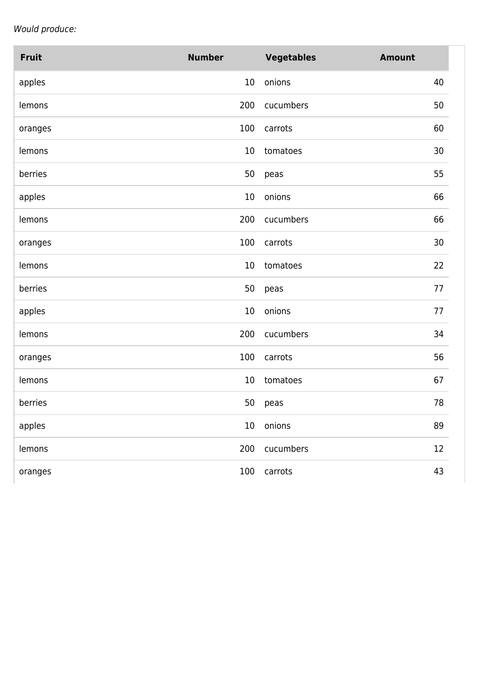Would produce:

| <b>Fruit</b> | <b>Number</b> | <b>Vegetables</b> | <b>Amount</b> |
|--------------|---------------|-------------------|---------------|
| apples       | $10\,$        | onions            | 40            |
| lemons       | 200           | cucumbers         | 50            |
| oranges      | 100           | carrots           | 60            |
| lemons       | 10            | tomatoes          | 30            |
| berries      | 50            | peas              | 55            |
| apples       | 10            | onions            | 66            |
| lemons       | 200           | cucumbers         | 66            |
| oranges      | 100           | carrots           | 30            |
| lemons       | 10            | tomatoes          | 22            |
| berries      | 50            | peas              | 77            |
| apples       | 10            | onions            | 77            |
| lemons       | 200           | cucumbers         | 34            |
| oranges      | 100           | carrots           | 56            |
| lemons       | 10            | tomatoes          | 67            |
| berries      | 50            | peas              | 78            |
| apples       | $10\,$        | onions            | 89            |
| lemons       | 200           | cucumbers         | 12            |
| oranges      | 100           | carrots           | 43            |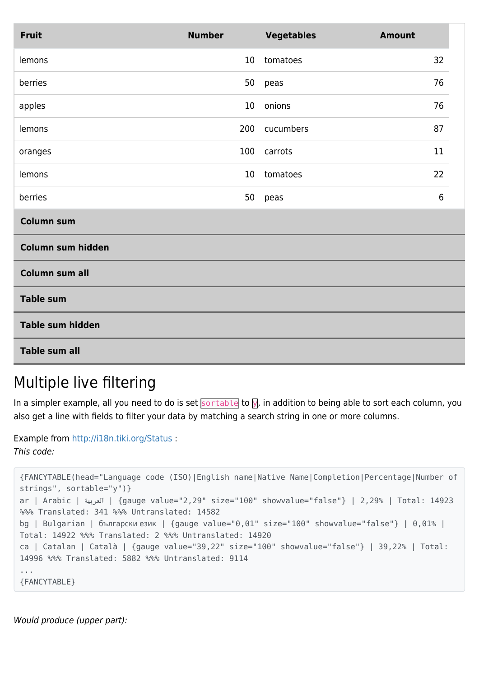| <b>Fruit</b>            | <b>Number</b> | <b>Vegetables</b> | <b>Amount</b>  |  |
|-------------------------|---------------|-------------------|----------------|--|
| lemons                  | 10            | tomatoes          | 32             |  |
| berries                 | 50            | peas              | 76             |  |
| apples                  | 10            | onions            | 76             |  |
| lemons                  | 200           | cucumbers         | 87             |  |
| oranges                 | 100           | carrots           | 11             |  |
| lemons                  | 10            | tomatoes          | 22             |  |
| berries                 | 50            | peas              | $6\phantom{1}$ |  |
| <b>Column sum</b>       |               |                   |                |  |
| Column sum hidden       |               |                   |                |  |
| Column sum all          |               |                   |                |  |
| <b>Table sum</b>        |               |                   |                |  |
| <b>Table sum hidden</b> |               |                   |                |  |
| <b>Table sum all</b>    |               |                   |                |  |

### Multiple live filtering

In a simpler example, all you need to do is set sortable to  $\overline{y}$ , in addition to being able to sort each column, you also get a line with fields to filter your data by matching a search string in one or more columns.

```
Example from http://i18n.tiki.org/Status :
This code:
```

```
{FANCYTABLE(head="Language code (ISO)|English name|Native Name|Completion|Percentage|Number of
strings", sortable="y")}
ar | Arabic | العربية} | gauge value="2,29" size="100" showvalue="false"} | 2,29% | Total: 14923
%%% Translated: 341 %%% Untranslated: 14582
bg | Bulgarian | български език | {gauge value="0,01" size="100" showvalue="false"} | 0,01% |
Total: 14922 %%% Translated: 2 %%% Untranslated: 14920
ca | Catalan | Català | {gauge value="39,22" size="100" showvalue="false"} | 39,22% | Total:
14996 %%% Translated: 5882 %%% Untranslated: 9114
...
{FANCYTABLE}
```
Would produce (upper part):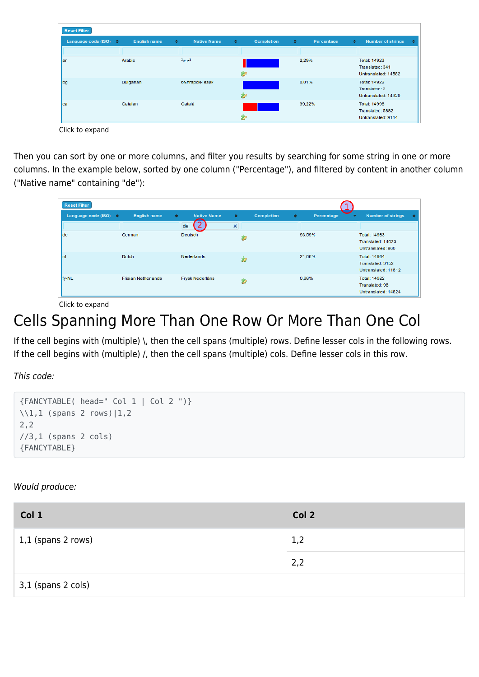| <b>Reset Filter</b>        |                     |                                     |   |                   |                             |                                                               |
|----------------------------|---------------------|-------------------------------------|---|-------------------|-----------------------------|---------------------------------------------------------------|
| Language code (ISO) $\div$ | <b>English name</b> | <b>Native Name</b><br>$\Rightarrow$ | ÷ | <b>Completion</b> | $\Rightarrow$<br>Percentage | <b>Number of strings</b><br>٠<br>◈                            |
|                            |                     |                                     |   |                   |                             |                                                               |
| lar                        | Arabic              | العربية                             | Ø |                   | 2,29%                       | <b>Total: 14923</b><br>Translated: 341<br>Untranslated: 14582 |
| bg                         | <b>Bulgarian</b>    | български език                      | Ż |                   | 0.01%                       | <b>Total: 14922</b><br>Translated: 2<br>Untranslated: 14920   |
| lca                        | Catalan             | Català                              | Ż |                   | 39.22%                      | <b>Total: 14996</b><br>Translated: 5882<br>Untranslated: 9114 |

Click to expand

Then you can sort by one or more columns, and filter you results by searching for some string in one or more columns. In the example below, sorted by one column ("Percentage"), and filtered by content in another column ("Native name" containing "de"):

| <b>Reset Filter</b>        |                            |                                     |                           |                                      |                                                                |
|----------------------------|----------------------------|-------------------------------------|---------------------------|--------------------------------------|----------------------------------------------------------------|
| Language code (ISO) $\div$ | <b>English name</b>        | <b>Native Name</b><br>$\Rightarrow$ | $\Rightarrow$             | <b>Completion</b><br>Percentage<br>◆ | <b>Number of strings</b><br>٠<br>≞                             |
|                            |                            | de                                  | $\boldsymbol{\mathsf{x}}$ |                                      |                                                                |
| lde                        | German                     | <b>Deutsch</b>                      | Ø                         | 93,59%                               | <b>Total: 14983</b><br>Translated: 14023<br>Untranslated: 960  |
| Inl                        | <b>Dutch</b>               | <b>Nederlands</b>                   | Ø                         | 21,06%                               | <b>Total: 14964</b><br>Translated: 3152<br>Untranslated: 11812 |
| fy-NL                      | <b>Frisian Netherlands</b> | <b>Frysk Nederlâns</b>              | Z                         | 0.66%                                | <b>Total: 14922</b><br>Translated: 98<br>Untranslated: 14824   |

Click to expand

## Cells Spanning More Than One Row Or More Than One Col

If the cell begins with (multiple) \, then the cell spans (multiple) rows. Define lesser cols in the following rows. If the cell begins with (multiple) /, then the cell spans (multiple) cols. Define lesser cols in this row.

This code:

```
{FANCYTABLE( head=" Col 1 | Col 2 ")}
\\1,1 (spans 2 rows)|1,2
2,2
//3,1 (spans 2 cols)
{FANCYTABLE}
```
Would produce:

| Col 1                      | Col 2 |
|----------------------------|-------|
| $\vert$ 1,1 (spans 2 rows) | 1,2   |
|                            | 2,2   |
| 3,1 (spans 2 cols)         |       |